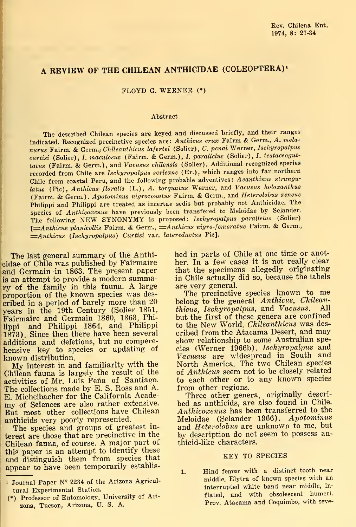# A REVIEW OF THE CHILEAN ANTHICIDAE (COLEÓPTERA)'

FLOYD G. WERNER {\*)

#### Abstract

The described Chilean species are keyed and discussed briefly, and their ranges indicated. Recognized precinctive species are: Anthicus crux Fairm & Germ., A. melanurus Fairm. & Germ., Chileanthicus lafertei (Solier), C. penai Werner, Ischyropalpus curtisi (Solier), I. maculosus (Fairm. & Germ.), I. parallelus (Solier), I. testaceoguttatus (Fairm. & Germ.), and Vacusus chilensis (Solier). Additional recognized species recorded from Chile are Ischyropalpus sericans (Er.), which ranges into far northern Chile from coastal Peru, and the following probable adventives: Acanthinus strangulatus (Pic), Anthicus floralis (L.), A. torquatus Werner, and Vacusus holoxanthus (Fairm. & Germ.). Apotominus nigrozonatus Fairm. & Germ., and Heterolobus aeneus Philippi and Philippi are treated as incertae sedis but probably not Anthicidae. The species of Anthicoxenus have previously been transfered to Meloidae by Selander. The following NEW SYNONYMY is proposed: Ischyropalpus parallelus (Solier) 1=Anthicus planicollis Fairm. & Germ., = Anthicus nigro-femoratus Fairm. & Germ.,  $\equiv$ Anthicus (Ischyropalpus) Curtisi var. latereductus Pic].

The last general summary of the Anthicidae of Chile was published by Fairmaire and Germain in 1863. The present paper is an attempt to provide a modern summary of the family in this fauna. A large proportion of the known species was described in a period of barely more than 20 years in the 19th Century (Solier 1851, Fairmaire and Germain 1860, 1863, Philippi and Philippi 1864, and Philippi 1873). Since then there have been several additions and del'etions, but no comperehensive key to species or updating of known distribution.

My interest in and familiarity with the Chilean fauna is largely the result of the activities of Mr. Luis Peña of Santiago. The collections made by E. S. Ross and A. E. Michelbacher for the California Academy of Sciences are also rather extensive. But most other collections have Chilean anthicids very poorly represented.

The species and groups of greatest in terest are those that are precinctive in the Chilean fauna, of course. A major part of this paper is an attempt to identify these and distinguish them from species that appear to have been temporarily established in parts of Chile at one time or another. In a few cases it is not reall'y clear that the specimens allegedly originating in Chile actually did so, because the labels are very general.

The precinctive species known to me belong to the general Anthicus, Chilean-<br>thicus, Ischuronalnus, and Vacusus. All thicus, Ischyropalpus, and Vacusus. but the first of these genera are confined to the New World. Chileanthicus was described from the Atacama Desert, and may show relationship to some Australian species (Werner 1966b). Ischyropalpus and Vacusus are widespread in South and North America. The two Chilean species of Anthicus seem not to be closely related to each other or to any known species from other regions.

Three other genera, originally described as anthicids, are also found in Chile. Anthicoxenus has been transferred to the Meloidae (Selander 1966). Apotominus and Heterolobus are unknown to me, but by description do not seem to possess anthicid-like characters.

## KEY TO SPECIES

1. Hind fémur with a distinct tooth near middle. Elytra of known species with an interrupted white band near middle, inflated, and with obsolescent humeri. Prov. Atacama and Coquimbo, with seve-

<sup>&</sup>lt;sup>1</sup> Journal Paper Nº 2234 of the Arizona Agricultura! Experimental Station.

<sup>(\*)</sup> Professor of Entomology. University of Arizona, Tucson, Arizona, U. S. A.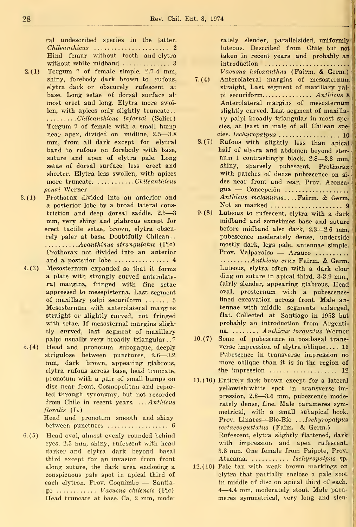ral undescribed species in the latter. Chileantkicus 2 Hind femur without tooth and elytra without white midband  $\ldots$ .............. 3

- 2.(1) Tergum <sup>7</sup> of female simple. 2.7-4 mm, shiny, forebody dark brown to rufous, elytra dark or obscurely rufescent at base. Long setae of dorsal surface al most erect and long. Elytra more swollen, with apices only slightly truncate... ........Chileanthicus lafertei (Solier) Tergum <sup>7</sup> of female with a small hump near apex, divided on midline. 2.5—3.8 mm, from all dark except for elytral band to rufous on forebody with base, suture and apex of elytra pale. Long setae of dorsal surface less erect and shorter. Elytra less swollen, with apices more truncate. .........Chileanthicus penal Werner
- 3.(1) Prothorax divided into an anterior and a posterior lobe by a broad lateral constriction and deep dorsal saddle. 2.5 mm, very shiny and glabrous except for erect tactile setae, brown, elytra obscurely paler at base. Doubtfully Chilean . .  $\ldots \ldots \ldots$  Acanthinus strangulatus (Pic) Prothorax not divided into an anterior and a posterior lobe 4
- 4.(3) Mesosternum expanded so that it forms a plate with strongly curved anterolateral margins, fringed with fine setae appressed to mesepisterna. Last segment of maxillary palpi securiform  $\ldots$  5 Mesosternum with anterolateral margins straight or slightly curved, not fringed with setae. If mesostemal margins slightly curved, last segment of maxillary palpi usually very broadly triangular..7
- 5.(4) Head and pronotum subopaque, deeply strigulose between punctures. 2.6—3.2 mm, dark brown, appearing glabrous, elytra rufous across base, head truncate, pronotum with a pair of small bumps on disc near front. Cosmopolitan and reported through synonymy, but not recorded from Chile in recent years. ... Anthicus floralia (L.)

Head and pronotum smooth and shiny between punctures  $\dots\dots\dots\dots\dots\dots$  6

6.(5) Head oval, almost evenly rounded behind eyes. 2.5 mm, shiny, rufescent with head darker and elytra dark beyond basal third except for an invasion from front along suture, the dark area enclosing a conspicuous palé spot in apical third of each elytron. Prov. Coquimbo — Santia  $g_0$  ............ Vacusus chilensis (Pic) Head truncate at base. Ca. 2 mm, moderately slender, parallelsided, uniformly luteous. Described from Chile but not taken in recent years and probably an introduction .......................... Vacusus holoxanthus (Fairm. & Germ.)

- 7.(4) Anterolateral margins of mesosternum straight. Last segment of maxillary palpi securiform.............. Anthicus 8 Anterolateral margins of mesosternum slightly curved. Last segment of maxilla ry palpi broadly triangular in most species, at least in male of all Chilean species. Ischyropalpus  $\ldots \ldots \ldots \ldots \ldots \ldots 10$
- 8.(7) Rufous with slightly less than apical half of elytra and abdomen beyond sternum 1 contrastingly black. 2.8—3.8 mm, shiny, sparsely pubescent. Prothorax with patches of dense pubescence on si des near front and rear. Prov. Aconca gua — Concepción Anthicus melanurus.... Fairm. & Germ. Not so marked <sup>91</sup>
- $\frac{1}{2}$  before midband also dark. 2.3—2.6 mm, 9.(8) Luteous to rufescent, elytra with a dark midband and sometimes base and suture pubescence moderately dense, underside mostly dark, legs pale, antennae simple. Prov. Valparaíso — Arauco ......... ..........Anthicus crux Fairm. & Germ. Luteous, elytra often with a dark clou ding on suture in apical third. 3-3.9 mm., fairly slender, appearing glabrous. Head oval, prosternum with a pubescencelined excavation across front. Male an tennae with middle segments enlarged, fíat. Collected at Santiago in 1953 but probably an introduction from Argenti na. ........ Anthicus torquatus Werner
- 10.(7) Some of pubescence in postbasal trans verse impression of elytra oblique.... 11 Pubescence in transverse impression no more oblique than it is in the region of  $\mathbb{F}$ the impression 12j
- 11.(10) Entirely dark brown except for a lateral yellowish-white spot in transverse impression. 2.8—3.4 mm, pubescence moderately dense, fine. Male parameres symmetrical, with a small subapical hook. Prov. Linares—Bío-Bío . . .Ischyropalpus testaceoguttatus (Faim. & Germ.) Rufescent, elytra slightly flattened, dark with impression and apex rufescent. 3.8 mm. One female from Palpóte, Prov. Atacama.  $\ldots \ldots \ldots$  Ischyropalpus sp.
- 12.(10) Palé tan with weak brown markings on elytra that partially enclose a pale spot in middle of disc on apical third of each. <sup>4</sup>—4.4 mm, moderately stout. Male para meres symmetrical, very long and slen-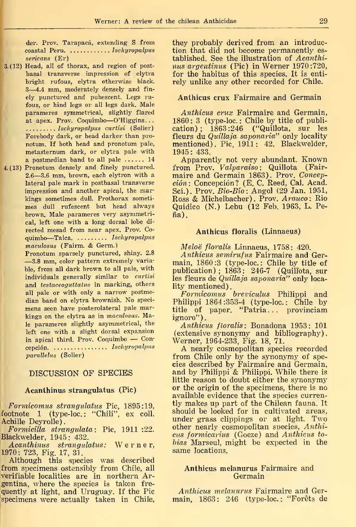der. Prov. Tarapacá, extending S from  $\text{coastal Peru.}$  ............ Ischyropalpus sericans (Er)

- 3.(12) Head, all of thorax, and region of postbasal transverse impression of elytra bright rufous, elytra otherwise black. <sup>3</sup>—4.4 mm, moderately densely and fin ely punctured and pubescent. Legs rufous, or hind legs or all legs dark. Male parameres symmetrical, slightly flared at apex. Prov. Coquimbo—O'Higgins. . . ......... Ischyropalpus curtisi (Solier) Forebody dark, or head darker than pronotum. If both head and pronotum palé, metasternum dark, or elytra palé with a postmedian band to all pale  $\ldots$  14
- 4.(13) Pronotum densely and finely punctured. 2.6—3.6 mm, brown, each elytron with <sup>a</sup> lateral palé mark in postbasal transverse impression and another apical, the markings sometimes dull. Prothorax someti mes dull rufescent but head always brown. Male parameres very asymmetrical, left one with a long dorsal lobe di rected mesad from near apex. Prov. Co quimbo-Talca. ........ Ischyropalpus maculosus (Fairm. & Germ.)

Pronotum sparsely punctured, shiny. 2.8 —3.8 mm, color pattern extremely variable, from all dark brown to all palé, with individuals generally similar to *curtisi* and testaceoguttatus in marking, others all palé or with only a narrow postmedian band on elytra brownish. No speci mens seen have posterolateral palé markings on the elytra as in maculosus. Male parameres slightly asymmetrical, the left one with a slight dorsal expansion in apical third. Prov. Coquimbo — Concepción. ............... Ischyropalpus parallelus (Solier)

### DISCUSSION OF SPECIES

#### Acanthinus strangulatus (Pie)

Formicomus strangulatus Pie, 1895:19, footnote 1 (type-loc.: "Chili", ex coll. Aehille Deyrolle).

FormiciUa strangulata: Pie, 1911 :22. Blackwelder, 1945: 432.

Acanthinus strangulatus: Werner, 1970: 723, Fig. 17, 31.

Although this species was described from specimens ostensibly from Chile, all verifiable localities are in northern Argentina, where the species is taken frequently at light, and Uruguay. If the Pie specimens were actually taken in Chile, they probably derived from an introduction that did not become permanently es tablished. See the illustration of Acanthi nus argentinus (Pic) in Werner  $1970:720$ , for the habitus of this species. It is entirely unlike any other recorded for Chile.

## Anthicus crux Fairmaire and Germain

Anthicus crux Fairmaire and Germain,  $1860:3$  (type-loc.: Chile by title of publication) ; 1863:246 ("Quillota, sur les fleurs du Quülaja saponaria" only locality mentioned). Pie, 1911: 42. Blackwelder, 1945: 433.

Apparently not very abundant. Known from Prov. *Valparaiso*: Quillota (Fairmaire and Germain 1863). Prov. Concepción: Concepción? (E. C. Reed, Cal. Acad. Sci.). Prov. Bío-Bío: Angol (29 Jan. 1951, Ross & Michelbacher). Prov. Arauco: Rio Quidico (N.) Lebu (12 Feb. 1983. L. Peña).

## Anthicus floralis (Linnaeus)

Meloë floralis Linnaeus, 1758: 420.

Anthicus semirufus Fairmaire and Germain, 1860:3 (type-loc: Chile by title of publication) ; 1863: 246-7 (Quillota, sur les fleurs de *Quillaja saponaria*" only locality mentioned).

Formicomus breviculus Philippi and Philippi 1864:353-4 (type-loc: Chile by title of paper. "Patria... provinciam ignoro")

Anthicus floralis: Bonadona 1953: 101 (extensive synonymy and bibliography)

Werner, 1964-233, Fig. 18, 71. <sup>A</sup> nearl'y cosmopolitan species recorded from Chile only by the synonymy of species described by Fairmaire and Germain, and by Philippi & Philippi. While there is little reason to doubt either the synonymy or the origin of the specimens, there is no available evidence that the species currently makes up part of the Chilean fauna. It should be looked for in cultivated areas, under grass clippings or at light. Two other nearly cosmopolitan species, Anthicus formicarius (Goeze) and Anthicus to bias Marseul, might be expected in the same locations.

### Anthicus melanurus Fairmaire and Germain

Anthicus melanurus Fairmaire and Germain, 1863: 246 (type-loc: "Foréts de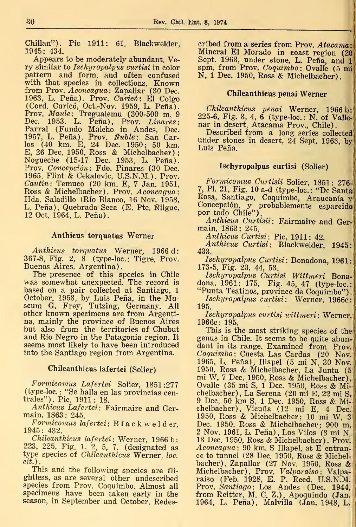Chillan"). Pie 1911: 61. Blackwelder, 1945: 434.

Appears to be moderately abundant. Very similar to Ischyropalpus curtisi in color pattem and form, and often confused with that species in collections. Known from Prov. Aconcagua: Zapallar (30 Dec. 1963, L. Peña). Prov. Curicó: El Coigo (Cord. Curicó, Oct.-Nov. 1959, L. Peña).  $\Pr$ ov.  $\textit{Maule}:$  Tregualemu (300-500 m, 9 Dec. 1953, L. Peña), Prov. Linares: Parral (Fundo Malcho in Andes, Dec. 1957, L. Peña). Prov. *Ñuble*: San Carlos (40 km. E, 24 Dec. 1950; 50 km. E, 26 Dec. 1950, Ross & Michelbacher) ;<br>Nogueche (15-17 Dec. 1953, L. Peña). Prov. Concepción: Fdo. Pinares (30 Dec. 1965. Flint & Cekalovic, U.S.N.M.). Prov. Cautín: Temuco (20 km. E, 7 Jan. 1951, Ross & Michelbacher). Prov. Aconcagua: Hda. Saladillo (Río Blanco, 16 Nov. 1958, L. Peña). Quebrada Seca (E. Pte. Nilgüe, 12 Oct. 1964, L. Peña).

## Anthicus torquatus Wemer

Anthicus torquatus Werner, 1966 d: 367-8, Fig. 2, 8 (type-loc: Tigre, Prov. Buenos Aires, Argentina).

The presence of this species in Chile was somewhat unexpected. The record is based on a pair coll'ected at Santiago, 1 October. 1953, by Luis Peña, in the Museum G. Frey, Tutzing, Germany. All other known specimens are from Argentina, mainly the province of Buenos Aires but also from the territories of Chubut and Río Negro in the Patagonia región. It seems most likely to have been introduced into the Santiago región from Argentina.

# Chileanthicus lafertei (Solier)

Formicomus Lafertei Solier, 1851 :277 (type-loc. : "Se halla en las provincias centrales"). Pie, 1911: 18.

Anthicus Lafertei: Fairmaire and Germain, 1863: 245.

Formicomus lafertei: B l'a c k w e l d er,<br>1945: 432.

Chileanthicus lafertei: Werner, 1966 b:<br>223, 225, Fig. 1, 2, 5, 7. (designated as type species of Chileauthicus Werner, loc. cit.).

This and the following species are fli ghtless, as are several other undescribed specimens have been taken early in the season, in September and October. Redes-

eribed from a series from Prov. Atacama: Mineral El Morado in coast region (20<br>Sept. 1963, under stone, L. Peña, and 1 spm. from Prov. Coquimbo: Ovalle (5 mi N, <sup>1</sup> Dec. 1950, Ross & Michelbacher)

:

### Chileanthicus penai Werner

Chileanthicus penai Werner, 1966 b:  $225-6$ , Fig. 3, 4, 6 (type-loc.: N. of Vallenar in desert, Atacama Prov., Chile).

Described from a long series collected under stones in desert, 24 Sept. 1963, by Luis Peña.

### Ischyropalpus curtisi (Solier)

Formicomus Curtisii Solier, 1851: 276-j 7, Pl. 21, Fig. 10 a-d (type-loc.: "De Santa<br>Rosa, Santiago, Coquimbo, Araucanía y Rosa, Santiago, Coquimbo, Araucanía y<br>Concepción, y probablemente esparcido**ia**<br>por todo Chile").

Anthicus Curtisii: Fairmaire and Germain, 1863: 245.

Anthicus Curtisi: Pie, 1911: 42.

Anthicus Curtisi: Blackwelder, 1945: 433.

Ischyropalpus Curtisi: Bonadona, 1961: 173-5, Fig. 23, 44, 53.

Ischyropalpus Curtisi Wittmeri Bonadona, 1961: 175, Fig. 45, 47 (type-loc: "Punta Teatinos, province de Coquimbo").

Ischyropalpus curtisi: Werner, 1966c: 195.

Ischyropalpus curtisi wittmeri: Werner. 1966e: 195.

This is the most striking species of the genus in Chile. It seems to be quite abundant in its range. Examined from Prov; Coquimbo: Cuesta Las Cardas (20 Nov; 1965, L. Peña), Illapel (5 mi N, 30 Nov; 1950, Ross & Michelbacher, La Junta (5" mi W, <sup>7</sup> Dec. 1950, Ross & Michelbacher), Ovalle (35 mi S, <sup>1</sup> Dec. 1950, Ross & Michelbacher), La Serena (20 mi E, 22 mi S^ <sup>9</sup> Dec, <sup>50</sup> km S, <sup>1</sup> Dec. 1950, Ross & Michelbacher), Vicuña (12 mi E, 4 Dec.' 1950, Ross & Michelbacher; <sup>10</sup> mi W, <sup>31</sup> Dec. 1950, Ross & Michelbacher; 900 m, 2 Nov. 1961, L. Peña), Los Vilos (3 mi N, 13 Dec. 1950, Ross & Michelbacher). Prov. Aconcagua: 90 km. S Illapel, at E entrance to tunnel (28 Dec. 1950, Ross & Michelbacher), Zapallar (27 Nov. 1950, Ross  $\&\|$ Michelbacher). Prov. Valparaíso: Valparaíso (Feb. 1928, E. P. Reed, U.S.N.M., Prov. Santiago: Los Andes (Dec. 1944, from Reitter, M. C. Z.), Apoquindo (Jan. 1964, L. Peña), Malvilla (Jan. 1948, L.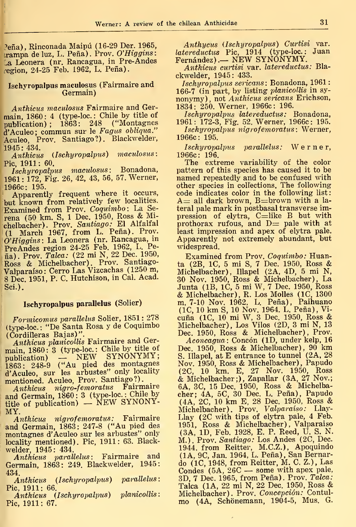'eña), Rinconada Maipú (16-29 Der. 1965, trampa de luz, L. Peña). Prov. O'Higgins: La Leonera (nr. Rancagua, in Pre-Andes •egion, 24-25 Feb. 1962, L. Peña).

### Ischyropalpus maculosus (Fairmaire and Germain)

Anthicus maculosus Fairmaire and Germain,  $1860: 4$  (type-loc.: Chile by title of publication);  $1863: 248$  ("Montagnes") 1863: 248 ("Montagnes d'Aculeo; commun sur le Fagus obliqua." Acúleo, Prov. Santiago?). Blackwelder, 1945 : 434.

Anthicus (Ischyropalpus) maculosus: Pie, 1911 : 60.

Ischyropalpus maculosus: Bonadona, 1961 : 172, Fig. 26, 42, 43, 56, 57. Werner, 1966c: 195.

 Apparently frequent where it occurs, but known from relatively few localities. Examined from Prov. Coquimbo: La Se rena (50 km. S, <sup>1</sup> Dec. 1950, Ross & Michelbacher). Prov. Santiago: El Alfalfal (1 March 1967, from L. Peña). Prov. O'Higgins: La Leonera (nr. Rancagua, in PreAndes región 24-25 Feb. 1962, L. Peña). Prov.  $Talca$ :  $(22 \text{ mi N}, 22 \text{ Dec. } 1950,$ Ross & Michelbacher). Prov. Santiago-Valparaíso: Cerro Las Vizcachas (1250 m, 8 Dec. 1951, P. C. Hutchison, in Cal. Acad. Sci.).

# Ischyropalpus parallelus (Solier)

Formicomus parallelus Solier, 1851 : 278 (type-loc. : "De Santa Rosa y de Coquimbo (Cordilleras Bajas)".

Anthicus planicollis Fairmaire and Germain, 1860: <sup>3</sup> (type-loc: Chile by title of publication) — NEW SYNONYMY; publication) — NEW SYNONYMY;<br>1863: 248-9 ("Au pied des montagnes d'Acúleo, sur les arbustes" only locality mentioned. Aculeo, Prov. Santiago?).<br>Anthicus nigro-femoratus Fairmaire

 $Anthicus$  nigro-femoratus and Germain, 1860: 3 (type-loc.: Chile by title of publication) — NEW SYNONY-MY.

Anthicus nigrofemoratus: Fairmaire and Germain, 1863: 247-8 ("Au pied des montagnes d'Aculeo sur les arbustes" only locality mentioned). Pie, 1911: 63. Blackwelder, 1945: 434.

Anthicus parallelus: Fairmaire and Germain, 1863: 249. Blackwelder, 1945: 434.

Anthicus (Ischyropalpus) parallelus: Pie, 1911: 66.

 $\hat{A}$ nthicus (Ischyropalpus) planicollis: Pie, 1911 : 67.

Anthycus {Ischyropalpus) Curtisi var. latereductus Pic, 1914 (type-loc.: Juan<br>Fernández).— NEW SYNONYMY.

Anthicus curtisi var. latereductus: Blackwelder, 1945: 433.

Ischyropalpus sericans : Bonadona, 1961 166-7 (in part, by listing *planicollis* in synonymy), not Anthicus sericans Erichson, 1834: 250. Werner, 1966e: 196.

Ischyropalpus latereductus: Bonadona, 1961 : 172-3, Fig. 52. Werner, 1966c : 195. Ischyropalpus nigrofemoratus: Werner,

1966c: 195. Ischyropalpus parallelus: Werner, 1966c: 196.

The extreme variability of the color pattern of this species has caused it to be named repeatedly and to be eonfused with other species in collections. The following code indicates color in the following list:<br> $A=$  all dark brown, B=brown with a lateral palé mark in postbasal transverse impression of elytra,  $C=$ like B but with prothorax rufous, and  $D=$  pale with at least impression and apex of elytra palé. Apparently not extremely abundant, but widespread.

Examined from Prov. Coquimbo: Huanta (2B, IC, <sup>5</sup> mi S, <sup>7</sup> Dec. 1950, Ross & Michelbacher), Illapel (2A, 4D, 5 mi N, 30 Nov. 1950, Ross & Michelbacher), La Junta (IB, IC, 5 mi W, 7 Dec. 1950, Ross & Michelbacher), R. Los Molles (IC, 1300 m, 7-10 Nov. 1962, L. Peña), Paihuano (IC, <sup>10</sup> km S, <sup>10</sup> Nov. 1964. L. Peña), Vicuña (IC, <sup>10</sup> mi W, <sup>3</sup> Dec. 1950, Ross & Michelbacher), Los Vilos (2D, 3 mi N, 13 Dec. 1950, Ross & Michelbacher), Prov.

Aconcagua: Concón (ID, under kelp, 16 Dec. 1950, Ross & Michelbacher), <sup>90</sup> km S. Illapel, at E entrance to tunnel (2A, 28 Nov. 1950, Ross & Michelbacher) , Papudo (2C, 10 km. E, 27 Nov. 1950, Ross & Michelbacher;), Zapallar (3A, 27 Nov.; 6A, 3C, 15 Dec. 1950, Ross & Michelbacher; 4A, 5C, 30 Dec. L. Peña), Papudo (4A, 2C, <sup>10</sup> km E, <sup>28</sup> Dec. 1950, Ross & Michelbacher). Prov. Valparaíso: Llay-Llay (2C with tips of elytra pale, 4 Feb. 1951, Ross & Michelbacher), Valparaíso (3A, ID, Feb. 1928, E. P. Reed, U. S. N. M.). Prov. Santiago: Los Andes (2C, Dec. 1944, from Reitter, M.C.Z.), Apoquindo (lA, 9C, Jan. 1964, L. Peña), San Bernardo (IC, 1948, from Reitter, M. C. Z.), Las Condes (5A, 26C — some with apex palé, 3D, 7 Dec. 1965, from Peña) . Prov. Talca: Talca (lA, <sup>22</sup> mi N, <sup>22</sup> Dec. 1950, Ross & Michelbacher). Prov. Concepción: Contulmo (4A, Schönemann, 1904-5, Mus. G.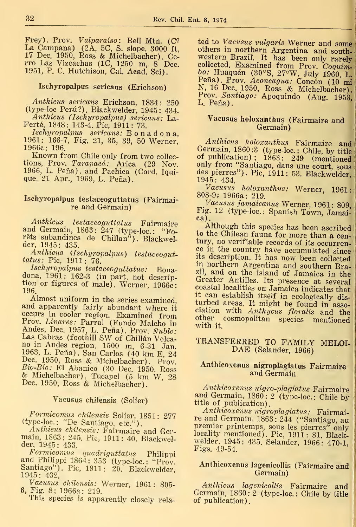Frey). Prov. Valparaíso: Bell Mtn. (C<sup>o</sup> La Campana) (2A, 5C, S. slope, 3000 ft, 17 Dec. 1950, Ross & Michelbacher) . Cerro Las Vizcachas (IC, 1250 m, 8 Dec. 1951, P. C. Hutchison, Cal. Acad. Sci).

# Ischyropalpus sericans (Erichson)

Anthicus sericans Erichson, 1834: 250 (type-loc Perú?). Blackwelder, 1945: 434. Anthicus (Ischyropalpus) sericans: La-

Ferté, 1848 : 143-4. Pie, 1911 : 73.

Ischyropalpus sericans: Bonadona, 1961: 166-7, Fig. 21, 35, 39, 50 Werner, 1966c: 196.

Known from Chile only from two collec tions, Prov. Tarapacá: Arica (29 Nov. 1966, L. Peña), and Pachica (Cord. Iquique, 21 Apr., 1969, L. Peña).

## Ischyropalpus testaceoguttatus (Fairmaire and Germain)

Anthicus testaceoguttatus Fairmaire and Germain, 1863: 247 (type-loc.: "Foréts subandines de Chillan"). Blackwelder, 1945: 435.

Anthicus (Ischyropalpus) testaceoguttatus: Pie, 1911: 76.

Ischyropalpus testaceoguttatus: Bonadona, 1961: 162-3 (in part. not description or figures of male). Werner, 1966c: 196.

Almost uniform in the series examined, and apparently fairly abundant where it occurs in cooler region. Examined from Prov. Linares: Parral (Fundo Malcho in Andes, Dec. 1957, L. Peña). Prov. Nuble:<br>Las Cabras (foothill SW of Chillán Volcano in Andes region. 1500 m, 6-31 Jan. 1963, L. Peña) , San Carlos (40 km E, 24 Dec. 1950, Ross & Michelbacher). Prov.  $B$ ío- $B$ ío: Él Abanico (30 Dec. 1950, Ross & Michelbacher), Tucapel (5 km W, 28 Dec. 1950, Ross & Michelbacher).

# Vacusus chilensis (Solier)

Formicomus chilensis Solier, 1851: 277 (type-loc: "De Santiago, etc.").

Anthicus chilensis: Fairmaire and Germain, 1863: 245. Pie, 1911: 40. Blackwelder, 1945: 433.

Formicomus quadriguttatus Philippi and Philippi <sup>1864</sup> : <sup>353</sup> (type-loc. : "Prov Santiago"). Pie, 1911: 20. Blackwelder, 1945: 432.

Vacusus chilensis: Werner, 1961: 805-6, Fig. 8; 1966a: 219.

This species is apparently closely rela-

ted to Vacusus vulgaris Werner and some others in northern Argentina and southwestem Brazil. It has been only rarely collected. Examined from Prov. Coquimbo: Huaquén (30°S, 27°W, July 1960, L. Peña). Prov. Aconcagua: Concón (10 mi N, 16 Dec. 1950, Ross & Michelbacher). Prov. *Santiago:* Apoquindo (Aug. 1953, <mark>.</mark><br>L. Peña).

## Vacusus holoxanthus (Fairmaire and Germain)

Anthicus holoxanthus Fairmaire and<br>Germain, 1860:3 (type-loc.: Chile, by title of publication) ;  $1863: 249$  (mentioned only from "Santiago, dans une court, sous des pierres"). Pie, 1911: 53. Blackwelder. 1945: 434.

Vacusus holoxanthus: Werner,  $1961$ : 808-9; 1966a: 219.<br>Vacusus jamaicanus Werner, 1961: 809,

Fig. 12 (type-loc.: Spanish Town, Jamaica).

Although this species has been ascribed to the Chilean fauna for more than a century, no verifiable records of its oceurrence in the country have accumulated since its description. It has now been collected in northern Argentina and southern Brazil, and on the island of Jamaica in the Greater Antilles. Its presence at several coastal localities on Jamaica indicates that it can establish itself in ecologically disturbed areas. It might be found in assoeiation with Anthycus floralis and the other cosmopolitan species mentioned with it.

# TRANSFERRED TO FAMILY MELOI-DAE (Selander, 1966)

## Anthicoxenus nigroplagiatus Fairmaire and Germain

Anthicoxenus nigro-plagiatus Fairmaire and Germain, 1860: <sup>2</sup> (type-loc: Chile by title of publication).

Anthicoxenus nigroplagiatus: Fairmaire and Germain, 1863: 244 ("Santiago, au premier printemps, sous les pierres" only locality mentioned). Pie, 1911: 81. Blackwelder, 1945: 435. Selander, 1966: 470-1, Figs. 49-54.

## Anthicoxenus lagenicollis (Fairmaire and Germain)

Anthicus lagenicollis Fairmaire and Germain, 1860: 2 (type-loc.: Chile by title of publieation)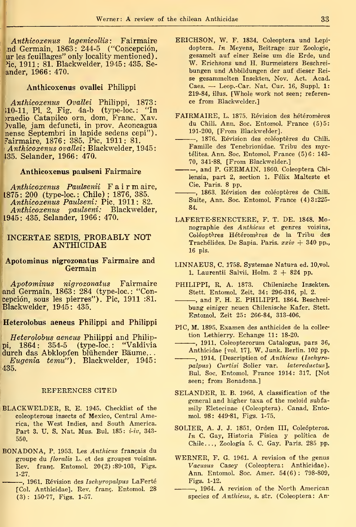Anthicoxenus lagenicollis: Fairmaire .nd Germain, 1863: 244-5 ("Concepción, ur les feuillages" only locality mentioned). >ic, 1911: 81. Blackwelder, 1945: 435. Seander, 1966: 470.

## Anthicoxenus ovallei Philippi

Anthicoxenus Ovallei Philippi, 1873 '!10-11, Pl. 2, Fig. 4a-b (type-loc. : "In )raedio Catapilco orn. dom. Franc. Xav. Dvalle, jam defuncti, in prov. Aconcagua nense Septembri in lapide sedens cepi"). í'airmaire, 1876: 385. Pie, 1911: 81. Anthicoxenus ovallei: Blackwelder, 1945: 135. Selander, 1966: 470.

### Anthicoxenus paulseni Fairmaire

Anthicoxenus Paulsenii F <sup>a</sup> <sup>i</sup><sup>r</sup> m aire, 1875 : 200 (type-loc. : Chile) ; 1876, 385. Anthicoxenus Paulseni: Pie, 1911: 82. Anthicoxenus paulseni: Blackwelder, 1945: 435. Selander, 1966: 470.

## INCERTAE SEDIS, PROBABLY NOT ANTHICIDAE

## Apotominus nigrozonatus Fairmaire and Germain

Apotominus nigrozonatus Fairmaire and Germain, 1863: 284 (type-loc.: "Concepción, sous les pierres"). Pie, 1911 :81. Blackwelder, 1945: 435.

Heterolobus aeneus Philippi and Philippi

Heterolobus aeneus Philippi and Philippi, 1864: 354-5 (type-loc.: "Valdivia durch das Abklopfen blühender Báume, . . Eugenia temu"). Blackwelder, 1945: 435.

#### REFERENCES CITED

- BLACKWELDER, R. E. 1945. Checklist of the coleopterous insects of México, Central America, the West Indies, and South America. Part 3. U. S. Nat. Mus. Bul. 185: i-iv, 343-550.
- BONADONA, P. 1953. Les Anthicus français du groupe du floralis L. et des groupes voisins. Rev. fran?. Entomol. 20(2) :89-103, Figs. 1-27.

-, 1961. Révision des Ischyropalpus LaFerté [Col. Anthicidae]. Rev. franç. Entomol. 28 (3) : 150-77, Figs. 1-57.

- ERICHSON, W. F. 1834. Coleoptera und Lepidoptera. In Meyens, Beitrage zur Zoologie, gesamelt auf einer Reise um die Erde, und W. Erichsons und H. Burmeisters Beschreibungen und Abbildungen der auf dieser Reise gesammelten Insekten. Nov. Act. Acad. Caes. — Leop.-Car. Nat. Cur. 16, Suppl. 1: 219-84, illus. [Whole work not seen; reference from Blackwelder.]
- FAIRMAIRE, L. 1875. Révision des hétéromères du Chili. Ann. Soc. Entomol. France (5)5: 191-200, [From Blackwelder].
- , 1876. Revisión des coléoptéres du Chili. Famille des Tenebrionidae. Tribu des myctélites. Ann. Soc. Entomol. France (5)6: 143- 70, 341-88. [From Blackwelder.]
- --, and P. GERMAIN. 1860. Coleoptera Chilensia, part 2, section 1. Félix Malteste et Cié. Paris. 8 pp.
- -, 1863. Révision des coléoptères de Chili. Suite, Ann. Soc. Entomol. France (4)3:225- 84.
- LAFERTE-SENECTERE, F. T. DE. 1848. Monographie des Anthicus et genres voisins, Coléoptéres Hétéroméres de la Tribu des Trachélides. De Sapia. Paris.  $xxiv + 340$  pp., 16 pls.
- LINNAEUS, C. 1758. Systemae Natura ed. 10, vol. 1. Laurentii Salvii. Holm.  $2 + 824$  pp.
- PHILIPPI, R. A. 1873. Chilenische Insekten. Stett. Entomol. Zeit. 34: 296-316, pl. 2.
- , and F. H. E. PHILIPPI. 1864. Beschrei bung einiger neuen Chilenische Kafer. Stett. Entomol. Zeit 25: 266-84, 313-406.
- PIC, M. 1895. Examen des anthicides de la collection Lethierry. Echange 11: 18-20.
- , 1911. Coleopterorum Catalogus, pars 36, Anthicidae [vol. 17]. W. Junk. Berlin. 102 pp.
- $-$ , 1914. [Description of Anthicus (Ischyropalpus) Curtisi Solier var. latereductus]. Bul. Soc. Entomol. France 1914: 317. [Not seen; from Bonadona.]
- SELANDER, R. B. 1966. A classification of the general and higher taxa of the meloid subfa mily Eletecinae (Coleoptera). Canad. Entomol. 98: 449-81, Figs. 1-75.
- SOLIER, A. J. J. 1851. Orden III, Coleópteros. In C. Gay, Historia Física y política de Chile..., Zoología 5. C. Gay. Paris. 285 pp.
- WERNER, F. G. 1961. A revision of the genus Vacusus Casey (Coleoptera: Anthicidae). Ann. Entomol. Soc. Amer. 54(6): 798-809, Figs. 1-12.
- , 1964. A revisión of the North American species of Anthicus, s. str. (Coleoptera: An-